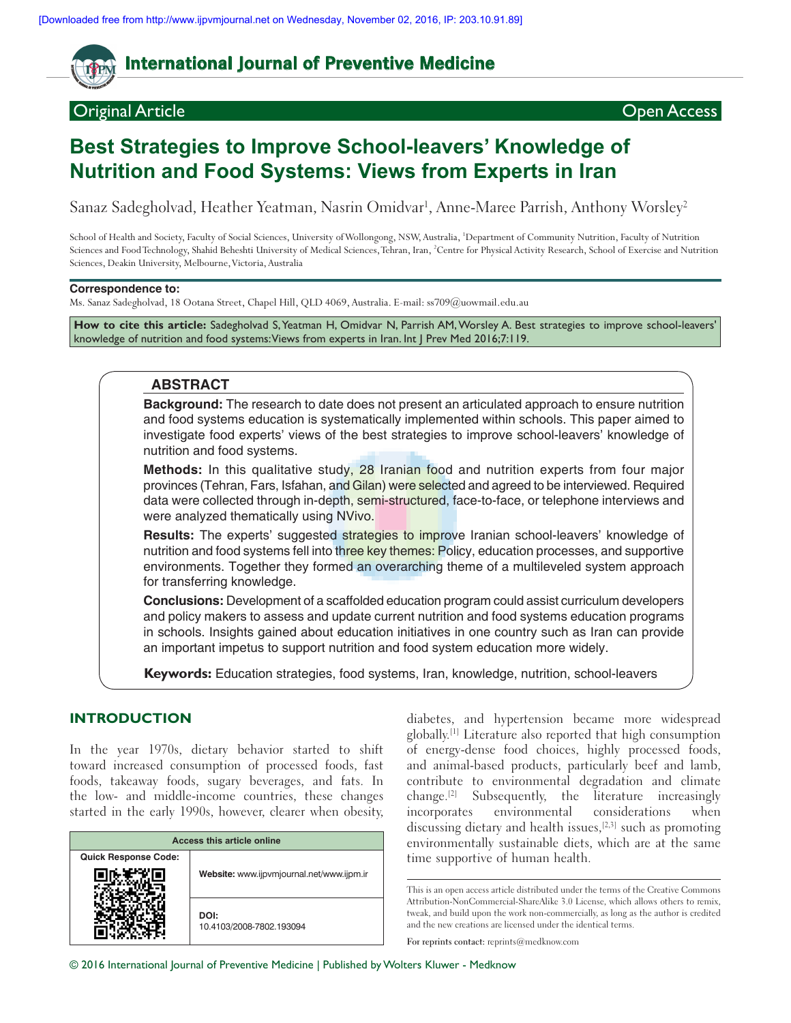# **International Journal of Preventive Medicine**

# Original Article Open Access

# **Best Strategies to Improve School‑leavers' Knowledge of Nutrition and Food Systems: Views from Experts in Iran**

Sanaz Sadegholvad, Heather Yeatman, Nasrin Omidvar<sup>1</sup>, Anne-Maree Parrish, Anthony Worsley<sup>2</sup>

School of Health and Society, Faculty of Social Sciences, University of Wollongong, NSW, Australia, <sup>1</sup>Department of Community Nutrition, Faculty of Nutrition Sciences and Food Technology, Shahid Beheshti University of Medical Sciences, Tehran, Iran, <sup>2</sup>Centre for Physical Activity Research, School of Exercise and Nutrition Sciences, Deakin University, Melbourne, Victoria, Australia

### **Correspondence to:**

Ms. Sanaz Sadegholvad, 18 Ootana Street, Chapel Hill, QLD 4069, Australia. E-mail: ss709@uowmail.edu.au

**How to cite this article:** Sadegholvad S, Yeatman H, Omidvar N, Parrish AM, Worsley A. Best strategies to improve school-leavers' knowledge of nutrition and food systems: Views from experts in Iran. Int J Prev Med 2016;7:119.

### **ABSTRACT**

**Background:** The research to date does not present an articulated approach to ensure nutrition and food systems education is systematically implemented within schools. This paper aimed to investigate food experts' views of the best strategies to improve school-leavers' knowledge of nutrition and food systems.

**Methods:** In this qualitative study, 28 Iranian food and nutrition experts from four major provinces (Tehran, Fars, Isfahan, and Gilan) were selected and agreed to be interviewed. Required data were collected through in-depth, semi-structured, face-to-face, or telephone interviews and were analyzed thematically using NVivo.

Results: The experts' suggested strategies to improve Iranian school-leavers' knowledge of nutrition and food systems fell into three key themes: Policy, education processes, and supportive environments. Together they formed an overarching theme of a multileveled system approach for transferring knowledge.

**Conclusions:** Development of a scaffolded education program could assist curriculum developers and policy makers to assess and update current nutrition and food systems education programs in schools. Insights gained about education initiatives in one country such as Iran can provide an important impetus to support nutrition and food system education more widely.

**Keywords:** Education strategies, food systems, Iran, knowledge, nutrition, school‑leavers

# **INTRODUCTION**

In the year 1970s, dietary behavior started to shift toward increased consumption of processed foods, fast foods, takeaway foods, sugary beverages, and fats. In the low‑ and middle‑income countries, these changes started in the early 1990s, however, clearer when obesity,

| Access this article online  |                                           |
|-----------------------------|-------------------------------------------|
| <b>Quick Response Code:</b> | Website: www.ijpvmjournal.net/www.ijpm.ir |
|                             | DOI:<br>10.4103/2008-7802.193094          |

diabetes, and hypertension became more widespread globally.[1] Literature also reported that high consumption of energy‑dense food choices, highly processed foods, and animal‑based products, particularly beef and lamb, contribute to environmental degradation and climate change.[2] Subsequently, the literature increasingly incorporates environmental considerations when discussing dietary and health issues,  $[2,3]$  such as promoting environmentally sustainable diets, which are at the same time supportive of human health.

This is an open access article distributed under the terms of the Creative Commons Attribution-NonCommercial-ShareAlike 3.0 License, which allows others to remix, tweak, and build upon the work non‑commercially, as long as the author is credited and the new creations are licensed under the identical terms.

**For reprints contact:** reprints@medknow.com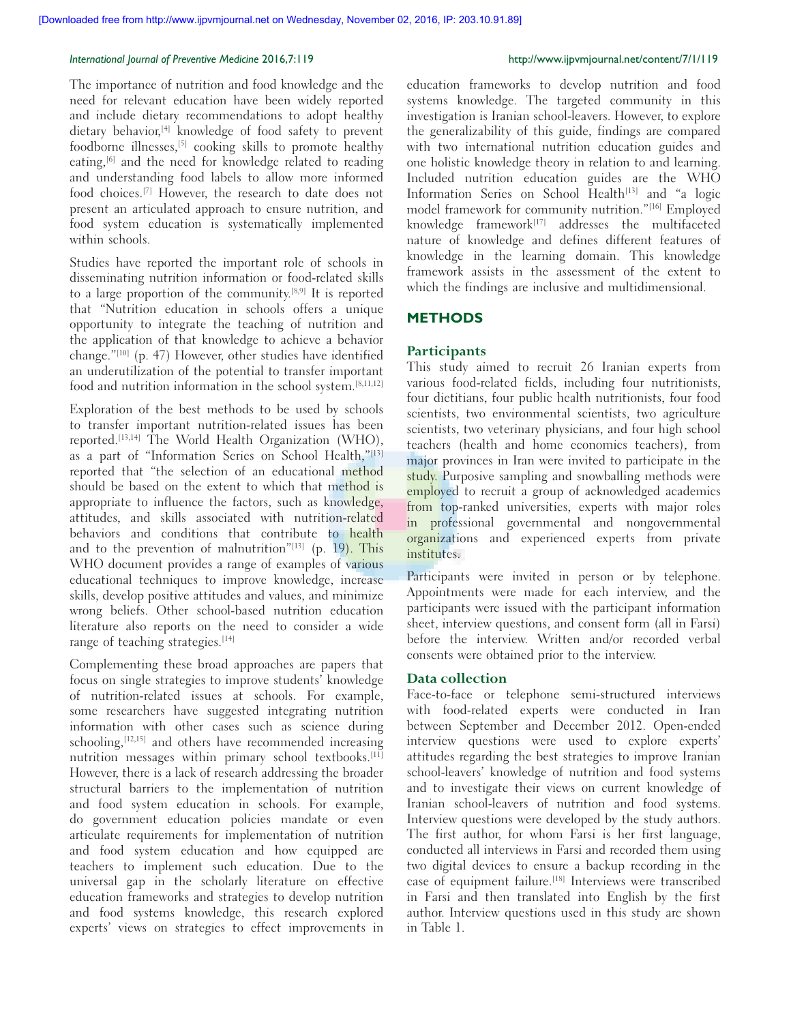The importance of nutrition and food knowledge and the need for relevant education have been widely reported and include dietary recommendations to adopt healthy dietary behavior,[4] knowledge of food safety to prevent foodborne illnesses,[5] cooking skills to promote healthy eating,<sup>[6]</sup> and the need for knowledge related to reading and understanding food labels to allow more informed food choices.[7] However, the research to date does not present an articulated approach to ensure nutrition, and food system education is systematically implemented within schools.

Studies have reported the important role of schools in disseminating nutrition information or food-related skills to a large proportion of the community.<sup>[8,9]</sup> It is reported that "Nutrition education in schools offers a unique opportunity to integrate the teaching of nutrition and the application of that knowledge to achieve a behavior change."[10] (p. 47) However, other studies have identified an underutilization of the potential to transfer important food and nutrition information in the school system.[8,11,12]

Exploration of the best methods to be used by schools to transfer important nutrition‑related issues has been reported.[13,14] The World Health Organization (WHO), as a part of "Information Series on School Health,"[13] reported that "the selection of an educational method should be based on the extent to which that method is appropriate to influence the factors, such as knowledge, attitudes, and skills associated with nutrition-related behaviors and conditions that contribute to health and to the prevention of malnutrition" $[13]$  (p. 19). This WHO document provides a range of examples of various educational techniques to improve knowledge, increase skills, develop positive attitudes and values, and minimize wrong beliefs. Other school-based nutrition education literature also reports on the need to consider a wide range of teaching strategies.<sup>[14]</sup>

Complementing these broad approaches are papers that focus on single strategies to improve students' knowledge of nutrition‑related issues at schools. For example, some researchers have suggested integrating nutrition information with other cases such as science during schooling,<sup>[12,15]</sup> and others have recommended increasing nutrition messages within primary school textbooks.<sup>[11]</sup> However, there is a lack of research addressing the broader structural barriers to the implementation of nutrition and food system education in schools. For example, do government education policies mandate or even articulate requirements for implementation of nutrition and food system education and how equipped are teachers to implement such education. Due to the universal gap in the scholarly literature on effective education frameworks and strategies to develop nutrition and food systems knowledge, this research explored experts' views on strategies to effect improvements in

education frameworks to develop nutrition and food systems knowledge. The targeted community in this investigation is Iranian school-leavers. However, to explore the generalizability of this guide, findings are compared with two international nutrition education guides and one holistic knowledge theory in relation to and learning. Included nutrition education guides are the WHO Information Series on School Health<sup>[13]</sup> and "a logic model framework for community nutrition."[16] Employed knowledge framework<sup>[17]</sup> addresses the multifaceted nature of knowledge and defines different features of knowledge in the learning domain. This knowledge framework assists in the assessment of the extent to which the findings are inclusive and multidimensional.

# **METHODS**

### **Participants**

This study aimed to recruit 26 Iranian experts from various food-related fields, including four nutritionists, four dietitians, four public health nutritionists, four food scientists, two environmental scientists, two agriculture scientists, two veterinary physicians, and four high school teachers (health and home economics teachers), from major provinces in Iran were invited to participate in the study. Purposive sampling and snowballing methods were employed to recruit a group of acknowledged academics from top-ranked universities, experts with major roles in professional governmental and nongovernmental organizations and experienced experts from private institutes.

Participants were invited in person or by telephone. Appointments were made for each interview, and the participants were issued with the participant information sheet, interview questions, and consent form (all in Farsi) before the interview. Written and/or recorded verbal consents were obtained prior to the interview.

### **Data collection**

Face-to-face or telephone semi-structured interviews with food-related experts were conducted in Iran between September and December 2012. Open-ended interview questions were used to explore experts' attitudes regarding the best strategies to improve Iranian school-leavers' knowledge of nutrition and food systems and to investigate their views on current knowledge of Iranian school‑leavers of nutrition and food systems. Interview questions were developed by the study authors. The first author, for whom Farsi is her first language, conducted all interviews in Farsi and recorded them using two digital devices to ensure a backup recording in the case of equipment failure.<sup>[18]</sup> Interviews were transcribed in Farsi and then translated into English by the first author. Interview questions used in this study are shown in Table 1.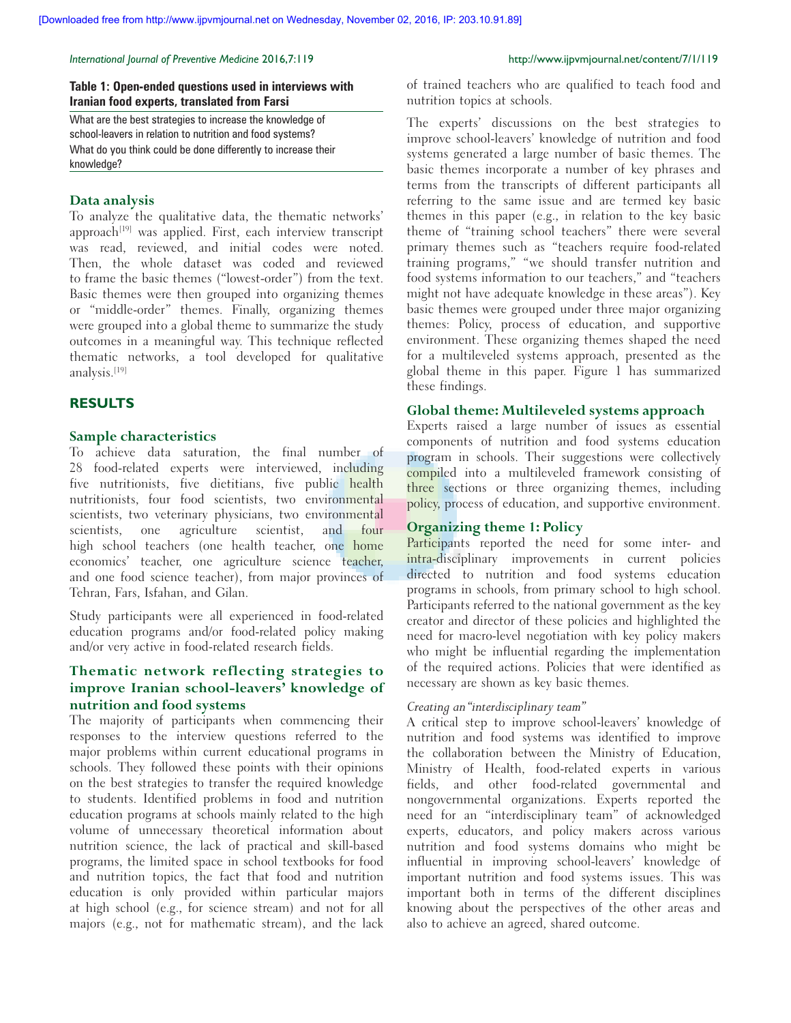### **Table 1: Open‑ended questions used in interviews with Iranian food experts, translated from Farsi**

What are the best strategies to increase the knowledge of school-leavers in relation to nutrition and food systems? What do you think could be done differently to increase their knowledge?

### **Data analysis**

To analyze the qualitative data, the thematic networks' approach<sup>[19]</sup> was applied. First, each interview transcript was read, reviewed, and initial codes were noted. Then, the whole dataset was coded and reviewed to frame the basic themes ("lowest‑order") from the text. Basic themes were then grouped into organizing themes or "middle‑order" themes. Finally, organizing themes were grouped into a global theme to summarize the study outcomes in a meaningful way. This technique reflected thematic networks, a tool developed for qualitative analysis.[19]

# **RESULTS**

### **Sample characteristics**

To achieve data saturation, the final number of 28 food-related experts were interviewed, including five nutritionists, five dietitians, five public health nutritionists, four food scientists, two environmental scientists, two veterinary physicians, two environmental scientists, one agriculture scientist, and four high school teachers (one health teacher, one home economics' teacher, one agriculture science teacher, and one food science teacher), from major provinces of Tehran, Fars, Isfahan, and Gilan.

Study participants were all experienced in food-related education programs and/or food-related policy making and/or very active in food-related research fields.

# **Thematic network reflecting strategies to improve Iranian school‑leavers' knowledge of nutrition and food systems**

The majority of participants when commencing their responses to the interview questions referred to the major problems within current educational programs in schools. They followed these points with their opinions on the best strategies to transfer the required knowledge to students. Identified problems in food and nutrition education programs at schools mainly related to the high volume of unnecessary theoretical information about nutrition science, the lack of practical and skill-based programs, the limited space in school textbooks for food and nutrition topics, the fact that food and nutrition education is only provided within particular majors at high school (e.g., for science stream) and not for all majors (e.g., not for mathematic stream), and the lack

of trained teachers who are qualified to teach food and nutrition topics at schools.

The experts' discussions on the best strategies to improve school-leavers' knowledge of nutrition and food systems generated a large number of basic themes. The basic themes incorporate a number of key phrases and terms from the transcripts of different participants all referring to the same issue and are termed key basic themes in this paper (e.g., in relation to the key basic theme of "training school teachers" there were several primary themes such as "teachers require food-related training programs," "we should transfer nutrition and food systems information to our teachers," and "teachers might not have adequate knowledge in these areas"). Key basic themes were grouped under three major organizing themes: Policy, process of education, and supportive environment. These organizing themes shaped the need for a multileveled systems approach, presented as the global theme in this paper. Figure 1 has summarized these findings.

### **Global theme: Multileveled systems approach**

Experts raised a large number of issues as essential components of nutrition and food systems education program in schools. Their suggestions were collectively compiled into a multileveled framework consisting of three sections or three organizing themes, including policy, process of education, and supportive environment.

### **Organizing theme 1: Policy**

Participants reported the need for some inter- and intra-disciplinary improvements in current policies directed to nutrition and food systems education programs in schools, from primary school to high school. Participants referred to the national government as the key creator and director of these policies and highlighted the need for macro‑level negotiation with key policy makers who might be influential regarding the implementation of the required actions. Policies that were identified as necessary are shown as key basic themes.

# *Creating an "interdisciplinary team"*

A critical step to improve school-leavers' knowledge of nutrition and food systems was identified to improve the collaboration between the Ministry of Education, Ministry of Health, food-related experts in various fields, and other food-related governmental and nongovernmental organizations. Experts reported the need for an "interdisciplinary team" of acknowledged experts, educators, and policy makers across various nutrition and food systems domains who might be influential in improving school-leavers' knowledge of important nutrition and food systems issues. This was important both in terms of the different disciplines knowing about the perspectives of the other areas and also to achieve an agreed, shared outcome.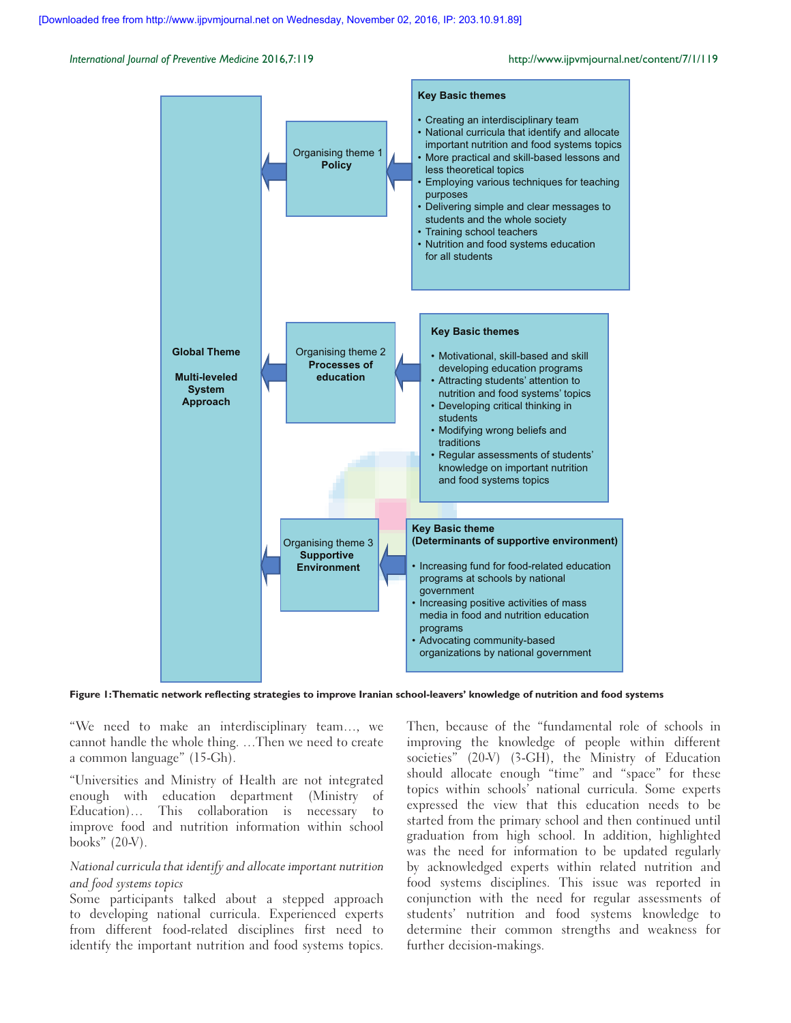

**Figure 1:Thematic network reflecting strategies to improve Iranian school‑leavers' knowledge of nutrition and food systems**

"We need to make an interdisciplinary team…, we cannot handle the whole thing. …Then we need to create a common language" (15‑Gh).

"Universities and Ministry of Health are not integrated enough with education department (Ministry of Education)… This collaboration is necessary to improve food and nutrition information within school books"  $(20-V)$ .

# *National curricula that identify and allocate important nutrition and food systems topics*

Some participants talked about a stepped approach to developing national curricula. Experienced experts from different food-related disciplines first need to identify the important nutrition and food systems topics.

Then, because of the "fundamental role of schools in improving the knowledge of people within different societies" (20-V) (3-GH), the Ministry of Education should allocate enough "time" and "space" for these topics within schools' national curricula. Some experts expressed the view that this education needs to be started from the primary school and then continued until graduation from high school. In addition, highlighted was the need for information to be updated regularly by acknowledged experts within related nutrition and food systems disciplines. This issue was reported in conjunction with the need for regular assessments of students' nutrition and food systems knowledge to determine their common strengths and weakness for further decision-makings.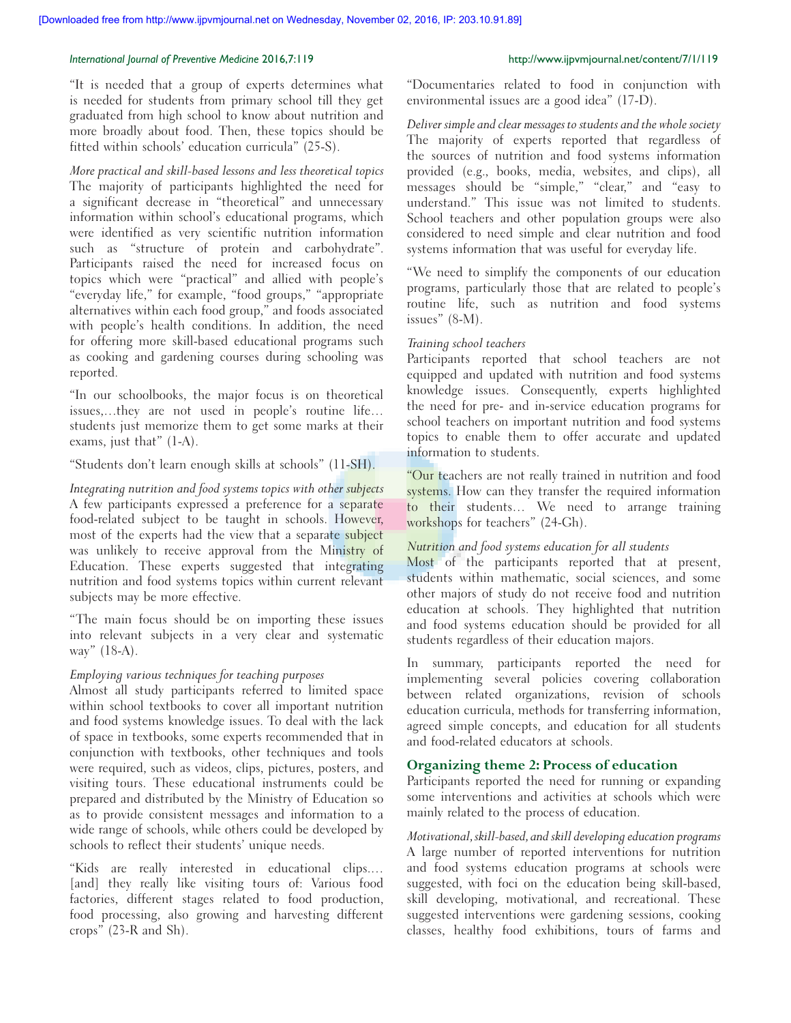"It is needed that a group of experts determines what is needed for students from primary school till they get graduated from high school to know about nutrition and more broadly about food. Then, these topics should be fitted within schools' education curricula" (25‑S).

*More practical and skill‑based lessons and less theoretical topics* The majority of participants highlighted the need for a significant decrease in "theoretical" and unnecessary information within school's educational programs, which were identified as very scientific nutrition information such as "structure of protein and carbohydrate". Participants raised the need for increased focus on topics which were "practical" and allied with people's "everyday life," for example, "food groups," "appropriate alternatives within each food group," and foods associated with people's health conditions. In addition, the need for offering more skill-based educational programs such as cooking and gardening courses during schooling was reported.

"In our schoolbooks, the major focus is on theoretical issues,…they are not used in people's routine life… students just memorize them to get some marks at their exams, just that" (1‑A).

"Students don't learn enough skills at schools" (11‑SH).

*Integrating nutrition and food systems topics with other subjects* A few participants expressed a preference for a separate food-related subject to be taught in schools. However, most of the experts had the view that a separate subject was unlikely to receive approval from the Ministry of Education. These experts suggested that integrating nutrition and food systems topics within current relevant subjects may be more effective.

"The main focus should be on importing these issues into relevant subjects in a very clear and systematic way"  $(18-A)$ .

# *Employing various techniques for teaching purposes*

Almost all study participants referred to limited space within school textbooks to cover all important nutrition and food systems knowledge issues. To deal with the lack of space in textbooks, some experts recommended that in conjunction with textbooks, other techniques and tools were required, such as videos, clips, pictures, posters, and visiting tours. These educational instruments could be prepared and distributed by the Ministry of Education so as to provide consistent messages and information to a wide range of schools, while others could be developed by schools to reflect their students' unique needs.

"Kids are really interested in educational clips.… [and] they really like visiting tours of: Various food factories, different stages related to food production, food processing, also growing and harvesting different crops" (23‑R and Sh).

"Documentaries related to food in conjunction with environmental issues are a good idea" (17‑D).

*Deliver simple and clear messages to students and the whole society* The majority of experts reported that regardless of the sources of nutrition and food systems information provided (e.g., books, media, websites, and clips), all messages should be "simple," "clear," and "easy to understand." This issue was not limited to students. School teachers and other population groups were also considered to need simple and clear nutrition and food systems information that was useful for everyday life.

"We need to simplify the components of our education programs, particularly those that are related to people's routine life, such as nutrition and food systems issues" (8‑M).

# *Training school teachers*

Participants reported that school teachers are not equipped and updated with nutrition and food systems knowledge issues. Consequently, experts highlighted the need for pre‑ and in‑service education programs for school teachers on important nutrition and food systems topics to enable them to offer accurate and updated information to students.

"Our teachers are not really trained in nutrition and food systems. How can they transfer the required information to their students… We need to arrange training workshops for teachers" (24-Gh).

# *Nutrition and food systems education for all students*

Most of the participants reported that at present, students within mathematic, social sciences, and some other majors of study do not receive food and nutrition education at schools. They highlighted that nutrition and food systems education should be provided for all students regardless of their education majors.

In summary, participants reported the need for implementing several policies covering collaboration between related organizations, revision of schools education curricula, methods for transferring information, agreed simple concepts, and education for all students and food‑related educators at schools.

# **Organizing theme 2: Process of education**

Participants reported the need for running or expanding some interventions and activities at schools which were mainly related to the process of education.

*Motivational, skill‑based, and skill developing education programs* A large number of reported interventions for nutrition and food systems education programs at schools were suggested, with foci on the education being skill-based, skill developing, motivational, and recreational. These suggested interventions were gardening sessions, cooking classes, healthy food exhibitions, tours of farms and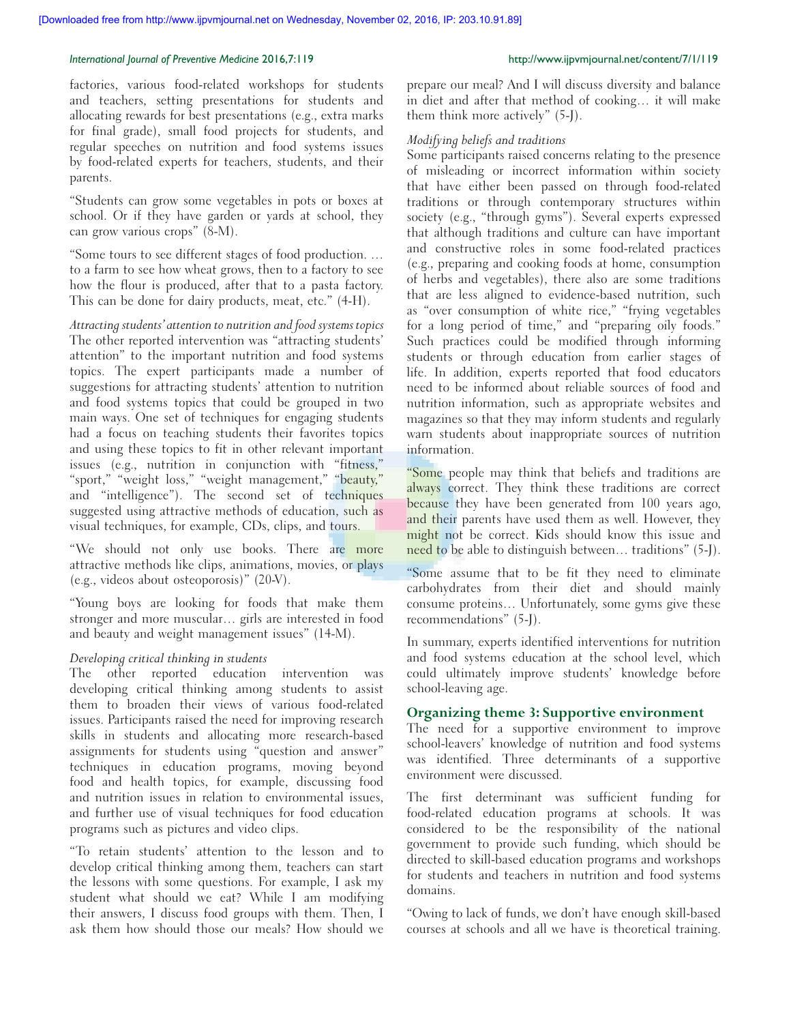factories, various food-related workshops for students and teachers, setting presentations for students and allocating rewards for best presentations (e.g., extra marks for final grade), small food projects for students, and regular speeches on nutrition and food systems issues by food-related experts for teachers, students, and their parents.

"Students can grow some vegetables in pots or boxes at school. Or if they have garden or yards at school, they can grow various crops" (8‑M).

"Some tours to see different stages of food production. … to a farm to see how wheat grows, then to a factory to see how the flour is produced, after that to a pasta factory. This can be done for dairy products, meat, etc." (4-H).

*Attracting students' attention to nutrition and food systems topics* The other reported intervention was "attracting students' attention" to the important nutrition and food systems topics. The expert participants made a number of suggestions for attracting students' attention to nutrition and food systems topics that could be grouped in two main ways. One set of techniques for engaging students had a focus on teaching students their favorites topics and using these topics to fit in other relevant important issues (e.g., nutrition in conjunction with "fitness," "sport," "weight loss," "weight management," "beauty," and "intelligence"). The second set of techniques suggested using attractive methods of education, such as visual techniques, for example, CDs, clips, and tours.

"We should not only use books. There are more attractive methods like clips, animations, movies, or plays (e.g., videos about osteoporosis)" (20‑V).

"Young boys are looking for foods that make them stronger and more muscular… girls are interested in food and beauty and weight management issues" (14‑M).

### *Developing critical thinking in students*

The other reported education intervention was developing critical thinking among students to assist them to broaden their views of various food-related issues. Participants raised the need for improving research skills in students and allocating more research-based assignments for students using "question and answer" techniques in education programs, moving beyond food and health topics, for example, discussing food and nutrition issues in relation to environmental issues, and further use of visual techniques for food education programs such as pictures and video clips.

"To retain students' attention to the lesson and to develop critical thinking among them, teachers can start the lessons with some questions. For example, I ask my student what should we eat? While I am modifying their answers, I discuss food groups with them. Then, I ask them how should those our meals? How should we

prepare our meal? And I will discuss diversity and balance in diet and after that method of cooking… it will make them think more actively" (5‑J).

### *Modifying beliefs and traditions*

Some participants raised concerns relating to the presence of misleading or incorrect information within society that have either been passed on through food-related traditions or through contemporary structures within society (e.g., "through gyms"). Several experts expressed that although traditions and culture can have important and constructive roles in some food-related practices (e.g., preparing and cooking foods at home, consumption of herbs and vegetables), there also are some traditions that are less aligned to evidence-based nutrition, such as "over consumption of white rice," "frying vegetables for a long period of time," and "preparing oily foods." Such practices could be modified through informing students or through education from earlier stages of life. In addition, experts reported that food educators need to be informed about reliable sources of food and nutrition information, such as appropriate websites and magazines so that they may inform students and regularly warn students about inappropriate sources of nutrition information.

"Some people may think that beliefs and traditions are always correct. They think these traditions are correct because they have been generated from 100 years ago, and their parents have used them as well. However, they might not be correct. Kids should know this issue and need to be able to distinguish between… traditions" (5‑J).

"Some assume that to be fit they need to eliminate carbohydrates from their diet and should mainly consume proteins… Unfortunately, some gyms give these recommendations" (5‑J).

In summary, experts identified interventions for nutrition and food systems education at the school level, which could ultimately improve students' knowledge before school-leaving age.

### **Organizing theme 3: Supportive environment**

The need for a supportive environment to improve school-leavers' knowledge of nutrition and food systems was identified. Three determinants of a supportive environment were discussed.

The first determinant was sufficient funding for food‑related education programs at schools. It was considered to be the responsibility of the national government to provide such funding, which should be directed to skill-based education programs and workshops for students and teachers in nutrition and food systems domains.

"Owing to lack of funds, we don't have enough skill‑based courses at schools and all we have is theoretical training.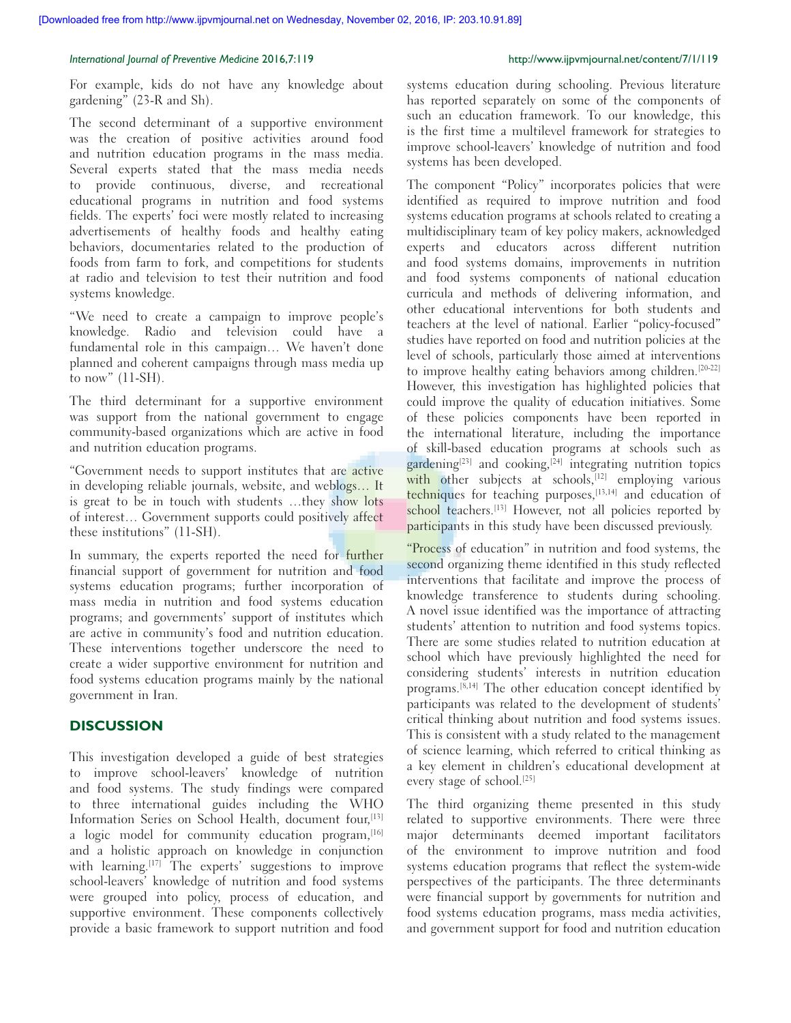For example, kids do not have any knowledge about gardening" (23‑R and Sh).

The second determinant of a supportive environment was the creation of positive activities around food and nutrition education programs in the mass media. Several experts stated that the mass media needs to provide continuous, diverse, and recreational educational programs in nutrition and food systems fields. The experts' foci were mostly related to increasing advertisements of healthy foods and healthy eating behaviors, documentaries related to the production of foods from farm to fork, and competitions for students at radio and television to test their nutrition and food systems knowledge.

"We need to create a campaign to improve people's knowledge. Radio and television could have a fundamental role in this campaign… We haven't done planned and coherent campaigns through mass media up to now"  $(11-SH)$ .

The third determinant for a supportive environment was support from the national government to engage community‑based organizations which are active in food and nutrition education programs.

"Government needs to support institutes that are active in developing reliable journals, website, and weblogs… It is great to be in touch with students …they show lots of interest… Government supports could positively affect these institutions" (11‑SH).

In summary, the experts reported the need for further financial support of government for nutrition and food systems education programs; further incorporation of mass media in nutrition and food systems education programs; and governments' support of institutes which are active in community's food and nutrition education. These interventions together underscore the need to create a wider supportive environment for nutrition and food systems education programs mainly by the national government in Iran.

# **DISCUSSION**

This investigation developed a guide of best strategies to improve school-leavers' knowledge of nutrition and food systems. The study findings were compared to three international guides including the WHO Information Series on School Health, document four, <a>[13]</a> a logic model for community education program, <a>[16]</a> and a holistic approach on knowledge in conjunction with learning.<sup>[17]</sup> The experts' suggestions to improve school-leavers' knowledge of nutrition and food systems were grouped into policy, process of education, and supportive environment. These components collectively provide a basic framework to support nutrition and food

systems education during schooling. Previous literature has reported separately on some of the components of such an education framework. To our knowledge, this is the first time a multilevel framework for strategies to improve school-leavers' knowledge of nutrition and food systems has been developed.

The component "Policy" incorporates policies that were identified as required to improve nutrition and food systems education programs at schools related to creating a multidisciplinary team of key policy makers, acknowledged experts and educators across different nutrition and food systems domains, improvements in nutrition and food systems components of national education curricula and methods of delivering information, and other educational interventions for both students and teachers at the level of national. Earlier "policy-focused" studies have reported on food and nutrition policies at the level of schools, particularly those aimed at interventions to improve healthy eating behaviors among children.<sup>[20-22]</sup> However, this investigation has highlighted policies that could improve the quality of education initiatives. Some of these policies components have been reported in the international literature, including the importance of skill‑based education programs at schools such as  $\frac{1}{\text{gardening}^{[23]}}$  and cooking,<sup>[24]</sup> integrating nutrition topics with other subjects at schools,<sup>[12]</sup> employing various techniques for teaching purposes,<sup>[13,14]</sup> and education of school teachers.<sup>[13]</sup> However, not all policies reported by participants in this study have been discussed previously.

"Process of education" in nutrition and food systems, the second organizing theme identified in this study reflected interventions that facilitate and improve the process of knowledge transference to students during schooling. A novel issue identified was the importance of attracting students' attention to nutrition and food systems topics. There are some studies related to nutrition education at school which have previously highlighted the need for considering students' interests in nutrition education programs.[8,14] The other education concept identified by participants was related to the development of students' critical thinking about nutrition and food systems issues. This is consistent with a study related to the management of science learning, which referred to critical thinking as a key element in children's educational development at every stage of school.[25]

The third organizing theme presented in this study related to supportive environments. There were three major determinants deemed important facilitators of the environment to improve nutrition and food systems education programs that reflect the system-wide perspectives of the participants. The three determinants were financial support by governments for nutrition and food systems education programs, mass media activities, and government support for food and nutrition education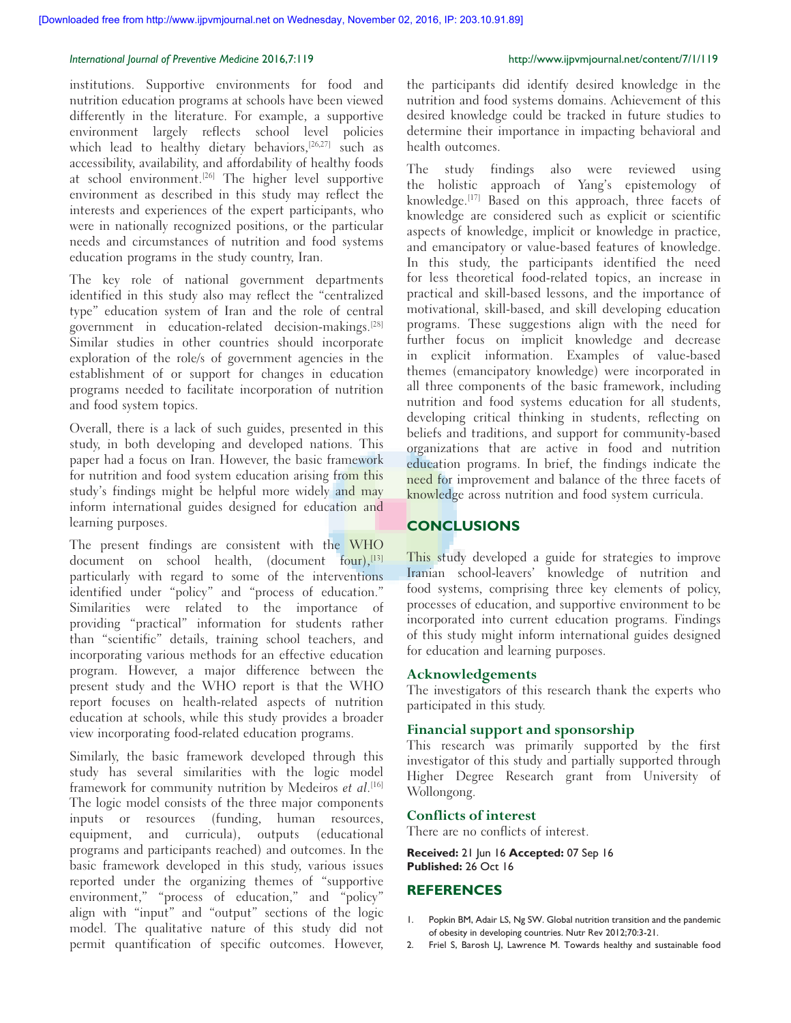institutions. Supportive environments for food and nutrition education programs at schools have been viewed differently in the literature. For example, a supportive environment largely reflects school level policies which lead to healthy dietary behaviors,<sup>[26,27]</sup> such as accessibility, availability, and affordability of healthy foods at school environment.<sup>[26]</sup> The higher level supportive environment as described in this study may reflect the interests and experiences of the expert participants, who were in nationally recognized positions, or the particular needs and circumstances of nutrition and food systems education programs in the study country, Iran.

The key role of national government departments identified in this study also may reflect the "centralized type" education system of Iran and the role of central government in education-related decision-makings.<sup>[28]</sup> Similar studies in other countries should incorporate exploration of the role/s of government agencies in the establishment of or support for changes in education programs needed to facilitate incorporation of nutrition and food system topics.

Overall, there is a lack of such guides, presented in this study, in both developing and developed nations. This paper had a focus on Iran. However, the basic framework for nutrition and food system education arising from this study's findings might be helpful more widely and may inform international guides designed for education and learning purposes.

The present findings are consistent with the WHO document on school health, (document four), $^{[13]}$ particularly with regard to some of the interventions identified under "policy" and "process of education." Similarities were related to the importance of providing "practical" information for students rather than "scientific" details, training school teachers, and incorporating various methods for an effective education program. However, a major difference between the present study and the WHO report is that the WHO report focuses on health-related aspects of nutrition education at schools, while this study provides a broader view incorporating food‑related education programs.

Similarly, the basic framework developed through this study has several similarities with the logic model framework for community nutrition by Medeiros et al.<sup>[16]</sup> The logic model consists of the three major components inputs or resources (funding, human resources, equipment, and curricula), outputs (educational programs and participants reached) and outcomes. In the basic framework developed in this study, various issues reported under the organizing themes of "supportive environment," "process of education," and "policy" align with "input" and "output" sections of the logic model. The qualitative nature of this study did not permit quantification of specific outcomes. However,

the participants did identify desired knowledge in the nutrition and food systems domains. Achievement of this desired knowledge could be tracked in future studies to determine their importance in impacting behavioral and health outcomes.

The study findings also were reviewed using the holistic approach of Yang's epistemology of knowledge.[17] Based on this approach, three facets of knowledge are considered such as explicit or scientific aspects of knowledge, implicit or knowledge in practice, and emancipatory or value-based features of knowledge. In this study, the participants identified the need for less theoretical food-related topics, an increase in practical and skill‑based lessons, and the importance of motivational, skill‑based, and skill developing education programs. These suggestions align with the need for further focus on implicit knowledge and decrease in explicit information. Examples of value-based themes (emancipatory knowledge) were incorporated in all three components of the basic framework, including nutrition and food systems education for all students, developing critical thinking in students, reflecting on beliefs and traditions, and support for community-based organizations that are active in food and nutrition education programs. In brief, the findings indicate the need for improvement and balance of the three facets of knowledge across nutrition and food system curricula.

### **CONCLUSIONS**

This study developed a guide for strategies to improve Iranian school-leavers' knowledge of nutrition and food systems, comprising three key elements of policy, processes of education, and supportive environment to be incorporated into current education programs. Findings of this study might inform international guides designed for education and learning purposes.

# **Acknowledgements**

The investigators of this research thank the experts who participated in this study.

### **Financial support and sponsorship**

This research was primarily supported by the first investigator of this study and partially supported through Higher Degree Research grant from University of Wollongong.

# **Conflicts of interest**

There are no conflicts of interest.

**Received:** 21 Jun 16 **Accepted:** 07 Sep 16 **Published:** 26 Oct 16

### **REFERENCES**

- 1. Popkin BM, Adair LS, Ng SW. Global nutrition transition and the pandemic of obesity in developing countries. Nutr Rev 2012;70:3-21.
- 2. Friel S, Barosh LJ, Lawrence M. Towards healthy and sustainable food